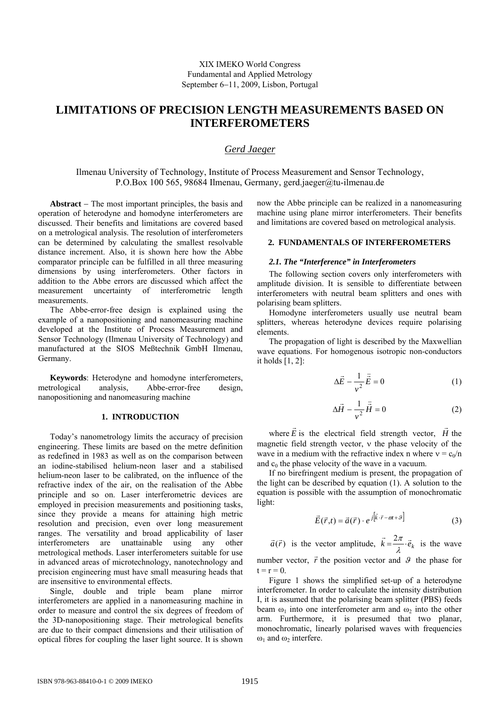# **LIMITATIONS OF PRECISION LENGTH MEASUREMENTS BASED ON INTERFEROMETERS**

## *Gerd Jaeger*

Ilmenau University of Technology, Institute of Process Measurement and Sensor Technology, P.O.Box 100 565, 98684 Ilmenau, Germany, gerd.jaeger@tu-ilmenau.de

**Abstract** − The most important principles, the basis and operation of heterodyne and homodyne interferometers are discussed. Their benefits and limitations are covered based on a metrological analysis. The resolution of interferometers can be determined by calculating the smallest resolvable distance increment. Also, it is shown here how the Abbe comparator principle can be fulfilled in all three measuring dimensions by using interferometers. Other factors in addition to the Abbe errors are discussed which affect the measurement uncertainty of interferometric length measurements.

The Abbe-error-free design is explained using the example of a nanopositioning and nanomeasuring machine developed at the Institute of Process Measurement and Sensor Technology (Ilmenau University of Technology) and manufactured at the SIOS Meßtechnik GmbH Ilmenau, Germany.

**Keywords**: Heterodyne and homodyne interferometers, metrological analysis, Abbe-error-free design, nanopositioning and nanomeasuring machine

## **1. INTRODUCTION**

Today's nanometrology limits the accuracy of precision engineering. These limits are based on the metre definition as redefined in 1983 as well as on the comparison between an iodine-stabilised helium-neon laser and a stabilised helium-neon laser to be calibrated, on the influence of the refractive index of the air, on the realisation of the Abbe principle and so on. Laser interferometric devices are employed in precision measurements and positioning tasks, since they provide a means for attaining high metric resolution and precision, even over long measurement ranges. The versatility and broad applicability of laser interferometers are unattainable using any other metrological methods. Laser interferometers suitable for use in advanced areas of microtechnology, nanotechnology and precision engineering must have small measuring heads that are insensitive to environmental effects.

Single, double and triple beam plane mirror interferometers are applied in a nanomeasuring machine in order to measure and control the six degrees of freedom of the 3D-nanopositioning stage. Their metrological benefits are due to their compact dimensions and their utilisation of optical fibres for coupling the laser light source. It is shown

now the Abbe principle can be realized in a nanomeasuring machine using plane mirror interferometers. Their benefits and limitations are covered based on metrological analysis.

#### **2. FUNDAMENTALS OF INTERFEROMETERS**

## *2.1. The "Interference" in Interferometers*

The following section covers only interferometers with amplitude division. It is sensible to differentiate between interferometers with neutral beam splitters and ones with polarising beam splitters.

Homodyne interferometers usually use neutral beam splitters, whereas heterodyne devices require polarising elements.

The propagation of light is described by the Maxwellian wave equations. For homogenous isotropic non-conductors it holds [1, 2]:

$$
\Delta \vec{E} - \frac{1}{v^2} \ddot{\vec{E}} = 0 \tag{1}
$$

$$
\Delta \vec{H} - \frac{1}{v^2} \ddot{\vec{H}} = 0 \tag{2}
$$

where  $\vec{E}$  is the electrical field strength vector,  $\vec{H}$  the magnetic field strength vector, ν the phase velocity of the wave in a medium with the refractive index n where  $v = c_0/n$ and  $c_0$  the phase velocity of the wave in a vacuum.

If no birefringent medium is present, the propagation of the light can be described by equation (1). A solution to the equation is possible with the assumption of monochromatic light:

$$
\vec{E}(\vec{r},t) = \vec{a}(\vec{r}) \cdot e^{j[\vec{k}\cdot\vec{r}-\vec{\omega}+\theta]}
$$
 (3)

 $\vec{a}(\vec{r})$  is the vector amplitude,  $\vec{k} = \frac{2\pi}{\lambda} \cdot \vec{e}_k$  is the wave number vector,  $\vec{r}$  the position vector and  $\beta$  the phase for  $t = r = 0.$ 

Figure 1 shows the simplified set-up of a heterodyne interferometer. In order to calculate the intensity distribution I, it is assumed that the polarising beam splitter (PBS) feeds beam  $\omega_1$  into one interferometer arm and  $\omega_2$  into the other arm. Furthermore, it is presumed that two planar, monochromatic, linearly polarised waves with frequencies  $ω<sub>1</sub>$  and  $ω<sub>2</sub>$  interfere.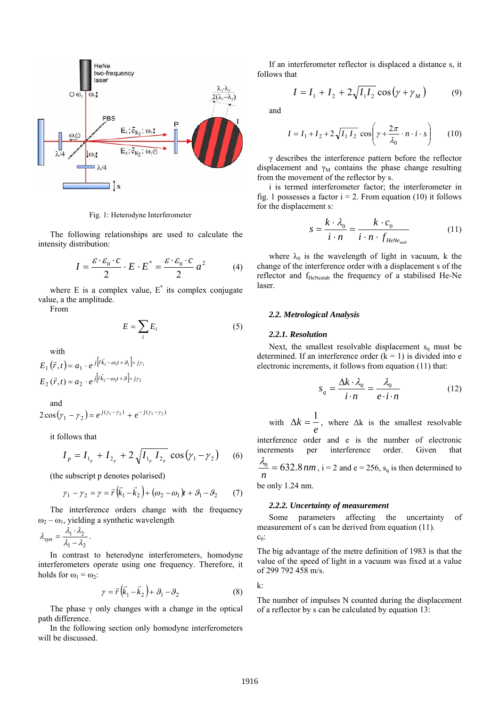

Fig. 1: Heterodyne Interferometer

The following relationships are used to calculate the intensity distribution:

$$
I = \frac{\varepsilon \cdot \varepsilon_0 \cdot c}{2} \cdot E \cdot E^* = \frac{\varepsilon \cdot \varepsilon_0 \cdot c}{2} a^2 \tag{4}
$$

where  $E$  is a complex value,  $E^*$  its complex conjugate value, a the amplitude.

From

$$
E = \sum_{i} E_i \tag{5}
$$

with

$$
E_1(\vec{r}, t) = a_1 \cdot e^{j[\vec{r}\vec{k}_1 - \omega_1 t + \mathcal{S}_1] = j\gamma_1}
$$
  

$$
E_2(\vec{r}, t) = a_2 \cdot e^{j[\vec{r}\vec{k}_2 - \omega_2 t + \mathcal{S}] = j\gamma_2}
$$

and  $( 2\cos(y_1 - y_2) = e^{j(y_1 - y_2)} + e^{-j(y_1 - y_2)}$ 

it follows that

$$
I_p = I_{1_p} + I_{2_p} + 2\sqrt{I_{1_p} I_{2_p}} \cos(\gamma_1 - \gamma_2)
$$
 (6)

(the subscript p denotes polarised)

$$
\gamma_1 - \gamma_2 = \gamma = \vec{r} \left( \vec{k}_1 - \vec{k}_2 \right) + (\omega_2 - \omega_1) \hat{r} + \mathcal{S}_1 - \mathcal{S}_2 \tag{7}
$$

The interference orders change with the frequency  $\omega_2 - \omega_1$ , yielding a synthetic wavelength

$$
\lambda_{syn} = \frac{\lambda_1 \cdot \lambda_2}{\lambda_1 - \lambda_2}.
$$

In contrast to heterodyne interferometers, homodyne interferometers operate using one frequency. Therefore, it holds for  $\omega_1 = \omega_2$ :

$$
\gamma = \vec{r} \left( \vec{k}_1 - \vec{k}_2 \right) + \mathcal{G}_1 - \mathcal{G}_2 \tag{8}
$$

The phase  $\gamma$  only changes with a change in the optical path difference.

In the following section only homodyne interferometers will be discussed.

If an interferometer reflector is displaced a distance s, it follows that

$$
I = I_1 + I_2 + 2\sqrt{I_1 I_2} \cos(\gamma + \gamma_M)
$$
 (9)

and

$$
I = I_1 + I_2 + 2\sqrt{I_1 I_2} \cos\left(\gamma + \frac{2\pi}{\lambda_0} \cdot n \cdot i \cdot s\right)
$$
 (10)

γ describes the interference pattern before the reflector displacement and  $\gamma_M$  contains the phase change resulting from the movement of the reflector by s.

i is termed interferometer factor; the interferometer in fig. 1 possesses a factor  $i = 2$ . From equation (10) it follows for the displacement s:

$$
s = \frac{k \cdot \lambda_0}{i \cdot n} = \frac{k \cdot c_0}{i \cdot n \cdot f_{\text{HeNe}_{\text{stab}}}}
$$
(11)

where  $\lambda_0$  is the wavelength of light in vacuum, k the change of the interference order with a displacement s of the reflector and f<sub>HeNestab</sub> the frequency of a stabilised He-Ne laser.

#### *2.2. Metrological Analysis*

#### *2.2.1. Resolution*

Next, the smallest resolvable displacement  $s_q$  must be determined. If an interference order  $(k = 1)$  is divided into e electronic increments, it follows from equation (11) that:

$$
s_q = \frac{\Delta k \cdot \lambda_0}{i \cdot n} = \frac{\lambda_0}{e \cdot i \cdot n} \tag{12}
$$

with  $\Delta k = \frac{1}{e}$  $\Delta k = \frac{1}{n}$ , where  $\Delta k$  is the smallest resolvable

interference order and e is the number of electronic increments per interference order. Given that

$$
\frac{\lambda_0}{n} = 632.8 \, nm, \, i = 2 \, \text{and} \, e = 256, \, s_q \, \text{is then determined to}
$$

be only 1.24 nm.

#### *2.2.2. Uncertainty of measurement*

Some parameters affecting the uncertainty of measurement of s can be derived from equation (11).  $c<sub>0</sub>$ :

The big advantage of the metre definition of 1983 is that the value of the speed of light in a vacuum was fixed at a value of 299 792 458 m/s.

 $k^{\cdot}$ 

The number of impulses N counted during the displacement of a reflector by s can be calculated by equation 13: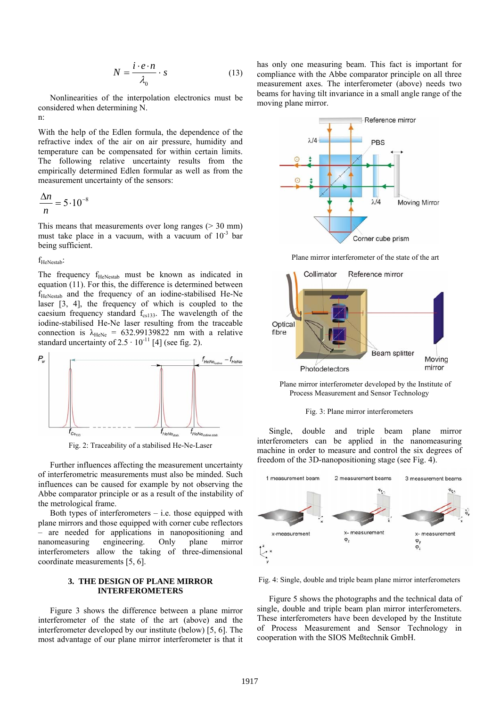$$
N = \frac{i \cdot e \cdot n}{\lambda_0} \cdot s \tag{13}
$$

Nonlinearities of the interpolation electronics must be considered when determining N. n:

With the help of the Edlen formula, the dependence of the refractive index of the air on air pressure, humidity and temperature can be compensated for within certain limits. The following relative uncertainty results from the empirically determined Edlen formular as well as from the measurement uncertainty of the sensors:

$$
\frac{\Delta n}{n} = 5 \cdot 10^{-8}
$$

This means that measurements over long ranges  $(> 30 \text{ mm})$ must take place in a vacuum, with a vacuum of  $10^{-3}$  bar being sufficient.

#### f<sub>HeNestab</sub>:

The frequency  $f_{\text{HeNestab}}$  must be known as indicated in equation (11). For this, the difference is determined between f<sub>HeNestab</sub> and the frequency of an iodine-stabilised He-Ne laser [3, 4], the frequency of which is coupled to the caesium frequency standard  $f_{cs133}$ . The wavelength of the iodine-stabilised He-Ne laser resulting from the traceable connection is  $\lambda_{\text{HeNe}} = 632.99139822$  nm with a relative standard uncertainty of  $2.5 \cdot 10^{-11}$  [4] (see fig. 2).



Fig. 2: Traceability of a stabilised He-Ne-Laser

Further influences affecting the measurement uncertainty of interferometric measurements must also be minded. Such influences can be caused for example by not observing the Abbe comparator principle or as a result of the instability of the metrological frame.

Both types of interferometers  $-$  i.e. those equipped with plane mirrors and those equipped with corner cube reflectors – are needed for applications in nanopositioning and nanomeasuring engineering. Only plane mirror interferometers allow the taking of three-dimensional coordinate measurements [5, 6].

## **3. THE DESIGN OF PLANE MIRROR INTERFEROMETERS**

Figure 3 shows the difference between a plane mirror interferometer of the state of the art (above) and the interferometer developed by our institute (below) [5, 6]. The most advantage of our plane mirror interferometer is that it has only one measuring beam. This fact is important for compliance with the Abbe comparator principle on all three measurement axes. The interferometer (above) needs two beams for having tilt invariance in a small angle range of the moving plane mirror.



Plane mirror interferometer of the state of the art



Plane mirror interferometer developed by the Institute of Process Measurement and Sensor Technology



Single, double and triple beam plane mirror interferometers can be applied in the nanomeasuring machine in order to measure and control the six degrees of freedom of the 3D-nanopositioning stage (see Fig. 4).



Fig. 4: Single, double and triple beam plane mirror interferometers

Figure 5 shows the photographs and the technical data of single, double and triple beam plan mirror interferometers. These interferometers have been developed by the Institute of Process Measurement and Sensor Technology in cooperation with the SIOS Meßtechnik GmbH.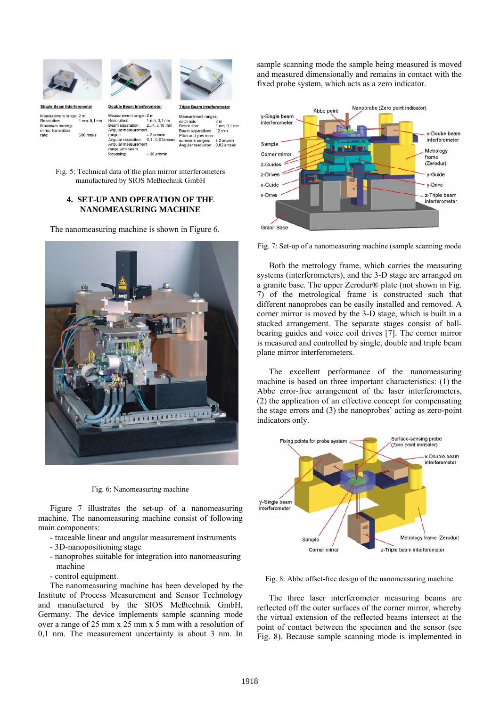



Single Beam Interferometer Measurement range: 2 n 1 nm;  $0.1$  nn Resolution:<br>Maximum moving-

600 mm/s

mirror translation

rate

Measurement range : 2 m Resolution:<br>Beam separation:<br>Angular measurement  $\pm 2$  ar range Angular r solution Angular measurement range with beam  $± 30$  arcmin focussing:



**Triple Beam Interfero** 

Double Beam Interferometer  $1 \text{ nm}$ ; 0,1 nm<br>2...4,  $\geq 10 \text{ mm}$  $\pm 2$  arcmin<br>0,1...0,01arc

Measurement ranges each axis<br>Resolution:  $2<sub>m</sub>$ 1 nm; 0,1 nm Beam separations: 12 mm Pitch and yaw measurement ranges:  $\pm 2$  arcmin Angular resolution: 0.02 arcsec

Fig. 5: Technical data of the plan mirror interferometers manufactured by SIOS Meßtechnik GmbH

## **4. SET-UP AND OPERATION OF THE NANOMEASURING MACHINE**

The nanomeasuring machine is shown in Figure 6.



Fig. 6: Nanomeasuring machine

Figure 7 illustrates the set-up of a nanomeasuring machine. The nanomeasuring machine consist of following main components:

- traceable linear and angular measurement instruments
- 3D-nanopositioning stage
- nanoprobes suitable for integration into nanomeasuring machine
- control equipment.

The nanomeasuring machine has been developed by the Institute of Process Measurement and Sensor Technology and manufactured by the SIOS Meßtechnik GmbH, Germany. The device implements sample scanning mode over a range of 25 mm x 25 mm x 5 mm with a resolution of 0,1 nm. The measurement uncertainty is about 3 nm. In

sample scanning mode the sample being measured is moved and measured dimensionally and remains in contact with the fixed probe system, which acts as a zero indicator.



Fig. 7: Set-up of a nanomeasuring machine (sample scanning mode

Both the metrology frame, which carries the measuring systems (interferometers), and the 3-D stage are arranged on a granite base. The upper Zerodur® plate (not shown in Fig. 7) of the metrological frame is constructed such that different nanoprobes can be easily installed and removed. A corner mirror is moved by the 3-D stage, which is built in a stacked arrangement. The separate stages consist of ballbearing guides and voice coil drives [7]. The corner mirror is measured and controlled by single, double and triple beam plane mirror interferometers.

The excellent performance of the nanomeasuring machine is based on three important characteristics: (1) the Abbe error-free arrangement of the laser interferometers, (2) the application of an effective concept for compensating the stage errors and (3) the nanoprobes' acting as zero-point indicators only.



Fig. 8: Abbe offset-free design of the nanomeasuring machine

The three laser interferometer measuring beams are reflected off the outer surfaces of the corner mirror, whereby the virtual extension of the reflected beams intersect at the point of contact between the specimen and the sensor (see Fig. 8). Because sample scanning mode is implemented in